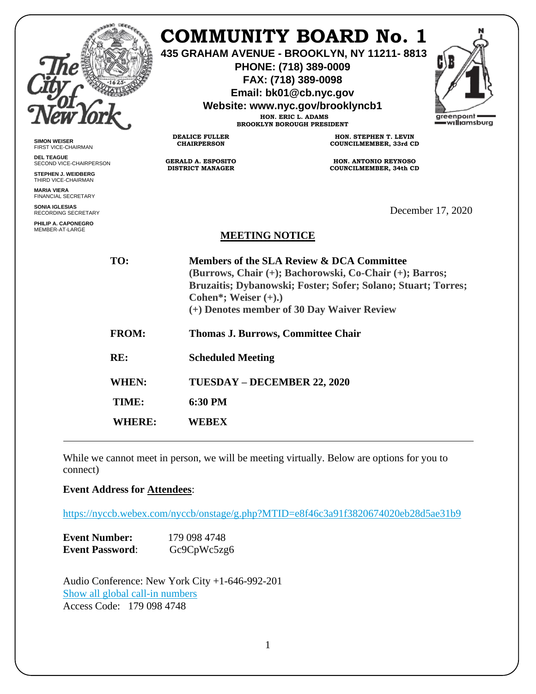|                                                                                                                                                |                                                                                                                                                                                                                                              | <b>COMMUNITY BOARD No. 1</b><br>435 GRAHAM AVENUE - BROOKLYN, NY 11211-8813<br>PHONE: (718) 389-0009<br>FAX: (718) 389-0098<br>Email: bk01@cb.nyc.gov<br>Website: www.nyc.gov/brooklyncb1<br>HON. ERIC L. ADAMS<br><b>BROOKLYN BOROUGH PRESIDENT</b> | greenpoint<br>— w <b>illi</b> amsburg |
|------------------------------------------------------------------------------------------------------------------------------------------------|----------------------------------------------------------------------------------------------------------------------------------------------------------------------------------------------------------------------------------------------|------------------------------------------------------------------------------------------------------------------------------------------------------------------------------------------------------------------------------------------------------|---------------------------------------|
| <b>SIMON WEISER</b><br>FIRST VICE-CHAIRMAN                                                                                                     | <b>DEALICE FULLER</b><br><b>CHAIRPERSON</b>                                                                                                                                                                                                  | HON. STEPHEN T. LEVIN<br>COUNCILMEMBER, 33rd CD                                                                                                                                                                                                      |                                       |
| <b>DEL TEAGUE</b><br>SECOND VICE-CHAIRPERSON<br>STEPHEN J. WEIDBERG<br>THIRD VICE-CHAIRMAN<br><b>MARIA VIERA</b><br><b>FINANCIAL SECRETARY</b> | <b>GERALD A. ESPOSITO</b><br><b>DISTRICT MANAGER</b>                                                                                                                                                                                         | HON. ANTONIO REYNOSO<br><b>COUNCILMEMBER, 34th CD</b>                                                                                                                                                                                                |                                       |
| <b>SONIA IGLESIAS</b><br>RECORDING SECRETARY                                                                                                   |                                                                                                                                                                                                                                              |                                                                                                                                                                                                                                                      | December 17, 2020                     |
| PHILIP A. CAPONEGRO<br>MEMBER-AT-LARGE                                                                                                         | <b>MEETING NOTICE</b>                                                                                                                                                                                                                        |                                                                                                                                                                                                                                                      |                                       |
| TO:                                                                                                                                            | Members of the SLA Review & DCA Committee<br>(Burrows, Chair (+); Bachorowski, Co-Chair (+); Barros;<br>Bruzaitis; Dybanowski; Foster; Sofer; Solano; Stuart; Torres;<br>Cohen*; Weiser $(+).$<br>(+) Denotes member of 30 Day Waiver Review |                                                                                                                                                                                                                                                      |                                       |
| <b>FROM:</b>                                                                                                                                   |                                                                                                                                                                                                                                              | Thomas J. Burrows, Committee Chair                                                                                                                                                                                                                   |                                       |
| RE:                                                                                                                                            | <b>Scheduled Meeting</b>                                                                                                                                                                                                                     |                                                                                                                                                                                                                                                      |                                       |
| WHEN:                                                                                                                                          | TUESDAY - DECEMBER 22, 2020                                                                                                                                                                                                                  |                                                                                                                                                                                                                                                      |                                       |
| TIME:                                                                                                                                          | 6:30 PM                                                                                                                                                                                                                                      |                                                                                                                                                                                                                                                      |                                       |
| <b>WHERE:</b>                                                                                                                                  | <b>WEBEX</b>                                                                                                                                                                                                                                 |                                                                                                                                                                                                                                                      |                                       |

While we cannot meet in person, we will be meeting virtually. Below are options for you to connect)

# **Event Address for Attendees**:

<https://nyccb.webex.com/nyccb/onstage/g.php?MTID=e8f46c3a91f3820674020eb28d5ae31b9>

| <b>Event Number:</b>   | 179 098 4748 |
|------------------------|--------------|
| <b>Event Password:</b> | Gc9CpWc5zg6  |

Audio Conference: New York City +1-646-992-201 [Show all global call-in numbers](https://nyccb.webex.com/cmp3300/webcomponents/widget/globalcallin/globalcallin.do?siteurl=nyccb&serviceType=EC&eventID=1101180212&tollFree=0) Access Code: 179 098 4748